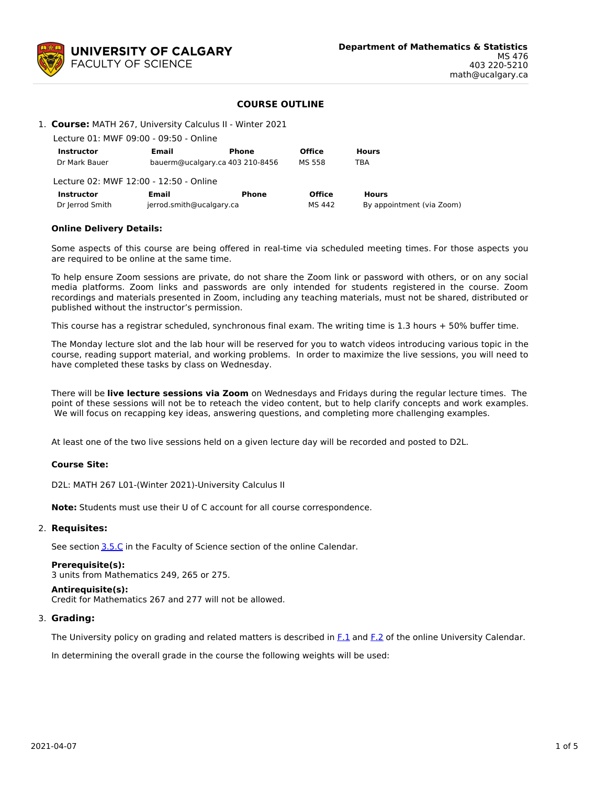

# **COURSE OUTLINE**

## 1. **Course:** MATH 267, University Calculus II - Winter 2021

Lecture 01: MWF 09:00 - 09:50 - Online

| <b>Instructor</b>                      | Email                    | Phone                           | <b>Office</b> | <b>Hours</b>              |
|----------------------------------------|--------------------------|---------------------------------|---------------|---------------------------|
| Dr Mark Bauer                          |                          | bauerm@ucalgary.ca 403 210-8456 | MS 558        | TBA                       |
| Lecture 02: MWF 12:00 - 12:50 - Online |                          |                                 |               |                           |
| <b>Instructor</b>                      | Email                    | Phone                           | <b>Office</b> | <b>Hours</b>              |
| Dr Jerrod Smith                        | jerrod.smith@ucalgary.ca |                                 | MS 442        | By appointment (via Zoom) |

## **Online Delivery Details:**

Some aspects of this course are being offered in real-time via scheduled meeting times. For those aspects you are required to be online at the same time.

To help ensure Zoom sessions are private, do not share the Zoom link or password with others, or on any social media platforms. Zoom links and passwords are only intended for students registered in the course. Zoom recordings and materials presented in Zoom, including any teaching materials, must not be shared, distributed or published without the instructor's permission.

This course has a registrar scheduled, synchronous final exam. The writing time is 1.3 hours + 50% buffer time.

The Monday lecture slot and the lab hour will be reserved for you to watch videos introducing various topic in the course, reading support material, and working problems. In order to maximize the live sessions, you will need to have completed these tasks by class on Wednesday.

There will be **live lecture sessions via Zoom** on Wednesdays and Fridays during the regular lecture times. The point of these sessions will not be to reteach the video content, but to help clarify concepts and work examples. We will focus on recapping key ideas, answering questions, and completing more challenging examples.

At least one of the two live sessions held on a given lecture day will be recorded and posted to D2L.

### **Course Site:**

D2L: MATH 267 L01-(Winter 2021)-University Calculus II

**Note:** Students must use their U of C account for all course correspondence.

## 2. **Requisites:**

See section [3.5.C](http://www.ucalgary.ca/pubs/calendar/current/sc-3-5.html) in the Faculty of Science section of the online Calendar.

# **Prerequisite(s):**

3 units from Mathematics 249, 265 or 275.

### **Antirequisite(s):**

Credit for Mathematics 267 and 277 will not be allowed.

### 3. **Grading:**

The University policy on grading and related matters is described in [F.1](http://www.ucalgary.ca/pubs/calendar/current/f-1.html) and [F.2](http://www.ucalgary.ca/pubs/calendar/current/f-2.html) of the online University Calendar.

In determining the overall grade in the course the following weights will be used: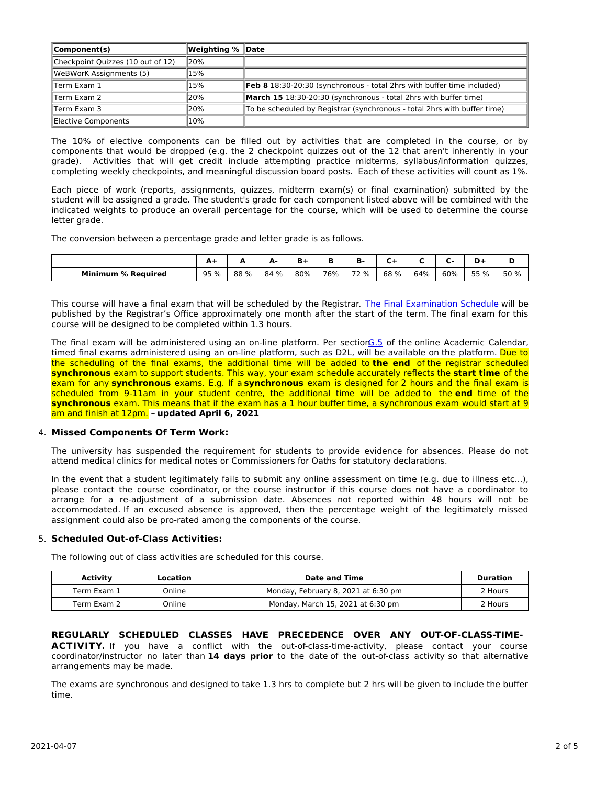| $\mathsf{IComponent(s)}$          | Weighting %   Date |                                                                               |
|-----------------------------------|--------------------|-------------------------------------------------------------------------------|
| Checkpoint Quizzes (10 out of 12) | 120%               |                                                                               |
| WeBWorK Assignments (5)           | 15%                |                                                                               |
| Term Exam 1                       | 15%                | <b>Feb 8 18:30-20:30 (synchronous - total 2hrs with buffer time included)</b> |
| Term Exam 2                       | 20%                | March 15 18:30-20:30 (synchronous - total 2hrs with buffer time)              |
| llTerm Exam 3                     | 20%                | To be scheduled by Registrar (synchronous - total 2hrs with buffer time)      |
| Elective Components               | 10%                |                                                                               |

The 10% of elective components can be filled out by activities that are completed in the course, or by components that would be dropped (e.g. the 2 checkpoint quizzes out of the 12 that aren't inherently in your grade). Activities that will get credit include attempting practice midterms, syllabus/information quizzes, completing weekly checkpoints, and meaningful discussion board posts. Each of these activities will count as 1%.

Each piece of work (reports, assignments, quizzes, midterm exam(s) or final examination) submitted by the student will be assigned a grade. The student's grade for each component listed above will be combined with the indicated weights to produce an overall percentage for the course, which will be used to determine the course letter grade.

The conversion between a percentage grade and letter grade is as follows.

|                           | $\mathbf{A}$ |      | Δ.<br>- | ъ.<br>D. |     | D    |      |     |     | D+   | М    |
|---------------------------|--------------|------|---------|----------|-----|------|------|-----|-----|------|------|
| <b>Minimum % Required</b> | 95 %         | 88 % | 84 %    | 80%      | 76% | 72 % | 68 % | 64% | 60% | 55 % | 50 % |

This course will have a final exam that will be scheduled by the Registrar. The Final [Examination](https://www.ucalgary.ca/registrar/exams) Schedule will be published by the Registrar's Office approximately one month after the start of the term. The final exam for this course will be designed to be completed within 1.3 hours.

The final exam will be administered using an on-line platform. Per section G.5 of the online Academic Calendar, timed final exams administered using an on-line platform, such as D2L, will be available on the platform. Due to the scheduling of the final exams, the additional time will be added to **the end** of the registrar scheduled **synchronous** exam to support students. This way, your exam schedule accurately reflects the **start time** of the exam for any **synchronous** exams. E.g. If a **synchronous** exam is designed for 2 hours and the final exam is scheduled from 9-11am in your student centre, the additional time will be added to the **end** time of the **synchronous** exam. This means that if the exam has a 1 hour buffer time, a synchronous exam would start at 9 am and finish at 12pm. – **updated April 6, 2021**

# 4. **Missed Components Of Term Work:**

The university has suspended the requirement for students to provide evidence for absences. Please do not attend medical clinics for medical notes or Commissioners for Oaths for statutory declarations.

In the event that a student legitimately fails to submit any online assessment on time (e.g. due to illness etc...), please contact the course coordinator, or the course instructor if this course does not have a coordinator to arrange for a re-adjustment of a submission date. Absences not reported within 48 hours will not be accommodated. If an excused absence is approved, then the percentage weight of the legitimately missed assignment could also be pro-rated among the components of the course.

# 5. **Scheduled Out-of-Class Activities:**

The following out of class activities are scheduled for this course.

| Activity    | Location | Date and Time                       | Duration |  |
|-------------|----------|-------------------------------------|----------|--|
| Term Exam 1 | Online   | Monday, February 8, 2021 at 6:30 pm | 2 Hours  |  |
| Term Exam 2 | Online   | Monday, March 15, 2021 at 6:30 pm   | 2 Hours  |  |

**REGULARLY SCHEDULED CLASSES HAVE PRECEDENCE OVER ANY OUT-OF-CLASS-TIME-ACTIVITY.** If you have a conflict with the out-of-class-time-activity, please contact your course coordinator/instructor no later than **14 days prior** to the date of the out-of-class activity so that alternative arrangements may be made.

The exams are synchronous and designed to take 1.3 hrs to complete but 2 hrs will be given to include the buffer time.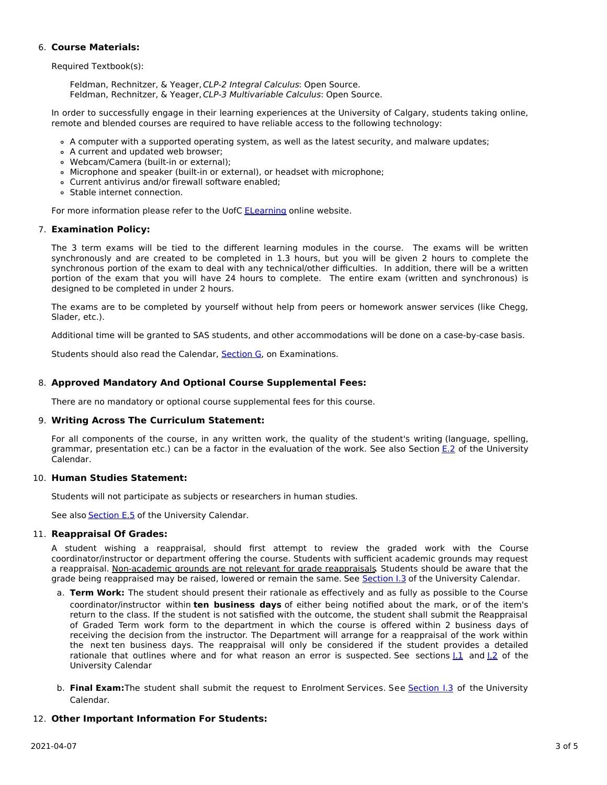# 6. **Course Materials:**

Required Textbook(s):

Feldman, Rechnitzer, & Yeager, CLP-2 Integral Calculus: Open Source. Feldman, Rechnitzer, & Yeager, CLP-3 Multivariable Calculus: Open Source.

In order to successfully engage in their learning experiences at the University of Calgary, students taking online, remote and blended courses are required to have reliable access to the following technology:

- A computer with a supported operating system, as well as the latest security, and malware updates;
- A current and updated web browser;
- Webcam/Camera (built-in or external);
- Microphone and speaker (built-in or external), or headset with microphone;
- Current antivirus and/or firewall software enabled;
- Stable internet connection.

For more information please refer to the UofC [ELearning](https://elearn.ucalgary.ca/technology-requirements-for-students) online website.

# 7. **Examination Policy:**

The 3 term exams will be tied to the different learning modules in the course. The exams will be written synchronously and are created to be completed in 1.3 hours, but you will be given 2 hours to complete the synchronous portion of the exam to deal with any technical/other difficulties. In addition, there will be a written portion of the exam that you will have 24 hours to complete. The entire exam (written and synchronous) is designed to be completed in under 2 hours.

The exams are to be completed by yourself without help from peers or homework answer services (like Chegg, Slader, etc.).

Additional time will be granted to SAS students, and other accommodations will be done on a case-by-case basis.

Students should also read the Calendar, **[Section](http://www.ucalgary.ca/pubs/calendar/current/g.html) G**, on Examinations.

# 8. **Approved Mandatory And Optional Course Supplemental Fees:**

There are no mandatory or optional course supplemental fees for this course.

# 9. **Writing Across The Curriculum Statement:**

For all components of the course, in any written work, the quality of the student's writing (language, spelling, grammar, presentation etc.) can be a factor in the evaluation of the work. See also Section [E.2](http://www.ucalgary.ca/pubs/calendar/current/e-2.html) of the University Calendar.

# 10. **Human Studies Statement:**

Students will not participate as subjects or researchers in human studies.

See also [Section](http://www.ucalgary.ca/pubs/calendar/current/e-5.html) E.5 of the University Calendar.

# 11. **Reappraisal Of Grades:**

A student wishing a reappraisal, should first attempt to review the graded work with the Course coordinator/instructor or department offering the course. Students with sufficient academic grounds may request a reappraisal. Non-academic grounds are not relevant for grade reappraisals. Students should be aware that the grade being reappraised may be raised, lowered or remain the same. See [Section](http://www.ucalgary.ca/pubs/calendar/current/i-3.html) I.3 of the University Calendar.

- a. **Term Work:** The student should present their rationale as effectively and as fully as possible to the Course coordinator/instructor within **ten business days** of either being notified about the mark, or of the item's return to the class. If the student is not satisfied with the outcome, the student shall submit the Reappraisal of Graded Term work form to the department in which the course is offered within 2 business days of receiving the decision from the instructor. The Department will arrange for a reappraisal of the work within the next ten business days. The reappraisal will only be considered if the student provides a detailed rationale that outlines where and for what reason an error is suspected. See sections 1.1 and 1.2 of the University Calendar
- b. **Final Exam:**The student shall submit the request to Enrolment Services. See [Section](http://www.ucalgary.ca/pubs/calendar/current/i-3.html) I.3 of the University Calendar.

# 12. **Other Important Information For Students:**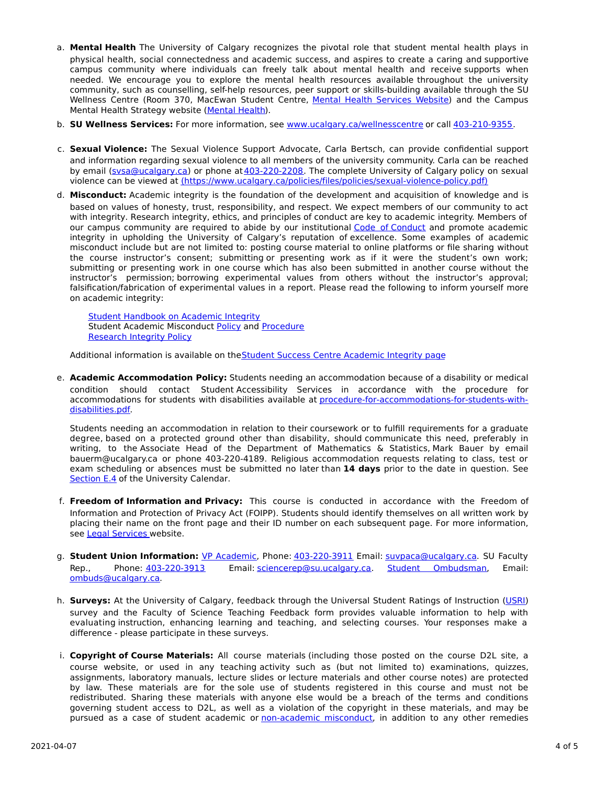- a. **Mental Health** The University of Calgary recognizes the pivotal role that student mental health plays in physical health, social connectedness and academic success, and aspires to create a caring and supportive campus community where individuals can freely talk about mental health and receive supports when needed. We encourage you to explore the mental health resources available throughout the university community, such as counselling, self-help resources, peer support or skills-building available through the SU Wellness Centre (Room 370, MacEwan Student Centre, Mental Health [Services](https://www.ucalgary.ca/wellnesscentre/services/mental-health-services) Website) and the Campus Mental Health Strategy website [\(Mental](http://www.ucalgary.ca/mentalhealth) Health).
- b. **SU Wellness Services:** For more information, see [www.ucalgary.ca/wellnesscentre](http://www.ucalgary.ca/wellnesscentre) or call [403-210-9355.](tel:4032109355)
- c. **Sexual Violence:** The Sexual Violence Support Advocate, Carla Bertsch, can provide confidential support and information regarding sexual violence to all members of the university community. Carla can be reached by email [\(svsa@ucalgary.ca](mailto:svsa@ucalgary.ca)) or phone at [403-220-2208](tel:4032202208). The complete University of Calgary policy on sexual violence can be viewed at [\(https://www.ucalgary.ca/policies/files/policies/sexual-violence-policy.pdf\)](https://www.ucalgary.ca/policies/files/policies/sexual-violence-policy.pdf)
- d. **Misconduct:** Academic integrity is the foundation of the development and acquisition of knowledge and is based on values of honesty, trust, responsibility, and respect. We expect members of our community to act with integrity. Research integrity, ethics, and principles of conduct are key to academic integrity. Members of our campus community are required to abide by our institutional Code of [Conduct](https://www.ucalgary.ca/policies/files/policies/code-of-conduct.pdf) and promote academic integrity in upholding the University of Calgary's reputation of excellence. Some examples of academic misconduct include but are not limited to: posting course material to online platforms or file sharing without the course instructor's consent; submitting or presenting work as if it were the student's own work; submitting or presenting work in one course which has also been submitted in another course without the instructor's permission; borrowing experimental values from others without the instructor's approval; falsification/fabrication of experimental values in a report. Please read the following to inform yourself more on academic integrity:

Student [Handbook](https://www.ucalgary.ca/live-uc-ucalgary-site/sites/default/files/teams/9/AI-Student-handbook-1.pdf) on Academic Integrity Student Academic Misconduct [Policy](https://ucalgary.ca/policies/files/policies/student-academic-misconduct-policy.pdf) and [Procedure](https://ucalgary.ca/policies/files/policies/student-academic-misconduct-procedure.pdf) [Research](https://www.ucalgary.ca/policies/files/policies/research-integrity.pdf) Integrity Policy

Additional information is available on the Student Success Centre [Academic](https://ucalgary.ca/student-services/student-success/learning/academic-integrity) Integrity page

e. **Academic Accommodation Policy:** Students needing an accommodation because of a disability or medical condition should contact Student Accessibility Services in accordance with the procedure for accommodations for students with disabilities available at [procedure-for-accommodations-for-students-with](http://www.ucalgary.ca/policies/files/policies/procedure-for-accommodations-for-students-with-disabilities_0.pdf)disabilities.pdf.

Students needing an accommodation in relation to their coursework or to fulfill requirements for a graduate degree, based on a protected ground other than disability, should communicate this need, preferably in writing, to the Associate Head of the Department of Mathematics & Statistics, Mark Bauer by email bauerm@ucalgary.ca or phone 403-220-4189. Religious accommodation requests relating to class, test or exam scheduling or absences must be submitted no later than **14 days** prior to the date in question. See [Section](http://www.ucalgary.ca/pubs/calendar/current/e-4.html) E.4 of the University Calendar.

- f. **Freedom of Information and Privacy:** This course is conducted in accordance with the Freedom of Information and Protection of Privacy Act (FOIPP). Students should identify themselves on all written work by placing their name on the front page and their ID number on each subsequent page. For more information, see Legal [Services](http://www.ucalgary.ca/legalservices/foip) website.
- g. **Student Union Information:** VP [Academic](http://www.su.ucalgary.ca/contact), Phone: [403-220-3911](tel:4032203911) Email: [suvpaca@ucalgary.ca](mailto:suvpaca@ucalgary.ca). SU Faculty Rep., Phone: [403-220-3913](tel:4032203913) Email: [sciencerep@su.ucalgary.ca](mailto:sciencerep@su.ucalgary.ca). Student [Ombudsman](https://www.ucalgary.ca/ombuds/), Email: [ombuds@ucalgary.ca](mailto:%20ombuds@ucalgary.ca).
- h. **Surveys:** At the University of Calgary, feedback through the Universal Student Ratings of Instruction [\(USRI](http://www.ucalgary.ca/usri)) survey and the Faculty of Science Teaching Feedback form provides valuable information to help with evaluating instruction, enhancing learning and teaching, and selecting courses. Your responses make a difference - please participate in these surveys.
- i. **Copyright of Course Materials:** All course materials (including those posted on the course D2L site, a course website, or used in any teaching activity such as (but not limited to) examinations, quizzes, assignments, laboratory manuals, lecture slides or lecture materials and other course notes) are protected by law. These materials are for the sole use of students registered in this course and must not be redistributed. Sharing these materials with anyone else would be a breach of the terms and conditions governing student access to D2L, as well as a violation of the copyright in these materials, and may be pursued as a case of student academic or [non-academic](https://www.ucalgary.ca/conduct/policy/non-academic-misconduct-policy) misconduct, in addition to any other remedies